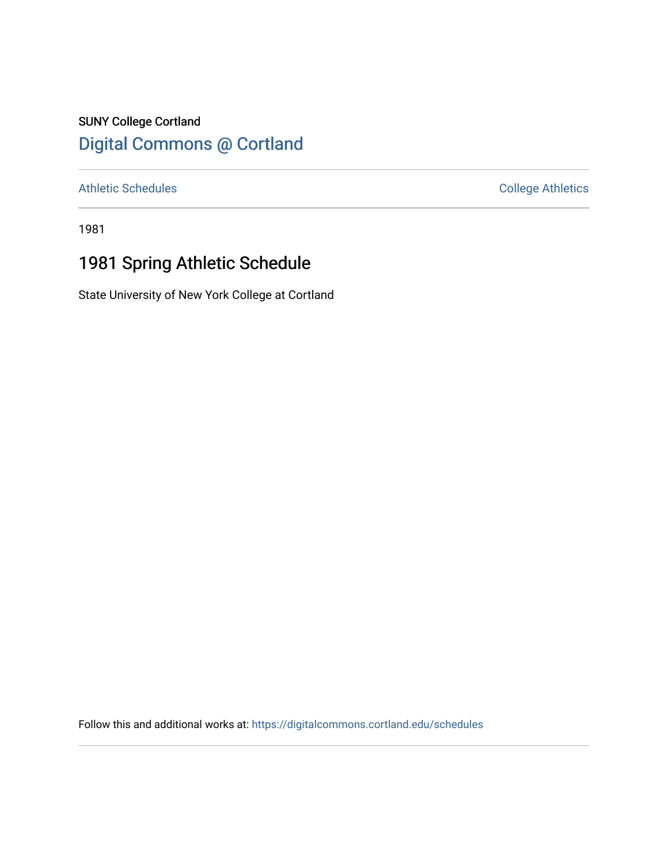# SUNY College Cortland [Digital Commons @ Cortland](https://digitalcommons.cortland.edu/)

[Athletic Schedules](https://digitalcommons.cortland.edu/schedules) **College Athletics** College Athletics

1981

# 1981 Spring Athletic Schedule

State University of New York College at Cortland

Follow this and additional works at: [https://digitalcommons.cortland.edu/schedules](https://digitalcommons.cortland.edu/schedules?utm_source=digitalcommons.cortland.edu%2Fschedules%2F43&utm_medium=PDF&utm_campaign=PDFCoverPages)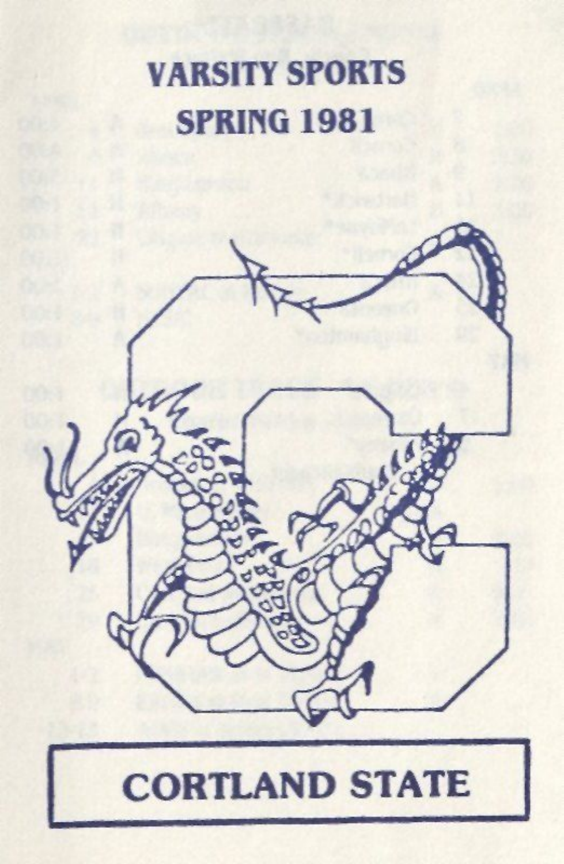# VARSITY SPORTS SPRING 1981



# **CORTLAND STATE**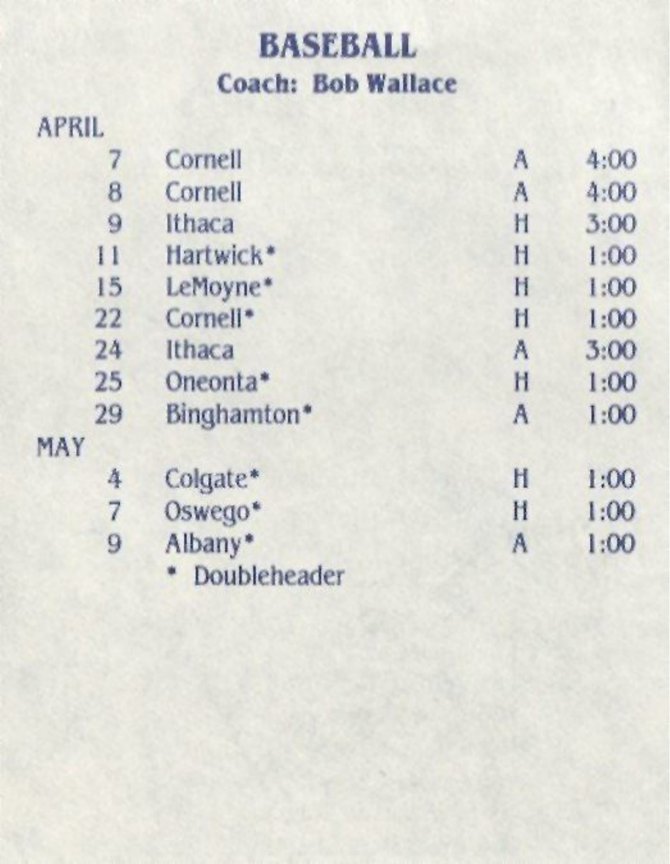## **BASEBALL Coach: Bob Wallace**

#### APRIL 7 Cornell A 4:00 8 Cornell **A** 4:00 9 Ithaca 1 3:00<br>11 Hartwick\* 1 1:00 11 Hartwick\* H 1:00 15 LeMoyne\* 11 1:00 22 Cornell<sup>\*</sup> **h** 1:00 24 Ithaca A 3:00 25 Oneonta\* 11 1:00 29 Binghamton\* A 1:00 MAY 4 Colgate' H 1:00 7 Oswego' H 1:00 9 Albany\* A 1:00

\* Doubleheader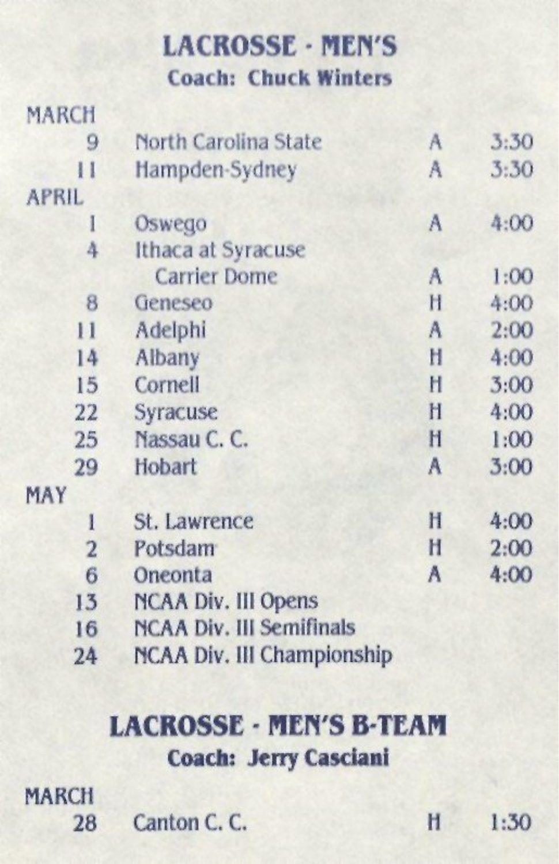**LACROSSE • MEN'S Coach: Chuck Winters** 

| MARCH        |                            |   |      |
|--------------|----------------------------|---|------|
| 9            | North Carolina State       | A | 3:30 |
| $\mathbf{I}$ | Hampden-Sydney             | A | 3:30 |
| <b>APRIL</b> |                            |   |      |
| I            | Oswego                     | A | 4:00 |
| 4            | Ithaca at Syracuse         |   |      |
|              | <b>Carrier Dome</b>        | A | 1:00 |
| 8            | Geneseo                    | H | 4:00 |
| $\mathbf{1}$ | Adelphi                    | A | 2:00 |
| 14           | Albany                     | H | 4:00 |
| 15           | Cornell                    | Н | 3:00 |
| 22           | Syracuse                   | Ħ | 4:00 |
| 25           | Nassau C. C.               | H | 1:00 |
| 29           | Hobart                     | A | 3:00 |
| MAY          |                            |   |      |
| l            | St. Lawrence               | Ħ | 4:00 |
| 2            | Potsdam                    | H | 2:00 |
| 6            | Oneonta                    | A | 4:00 |
| 13           | <b>NCAA Div. III Opens</b> |   |      |

- 16 HCAA Div. Ill Semifinals
- 24 HCAA Div. Ill Championship

### **LACROSSE • MEN'S B-TEAM Coach: Jerry Casciani**

- MARCH
	- 28 Canton C. C. H 1:30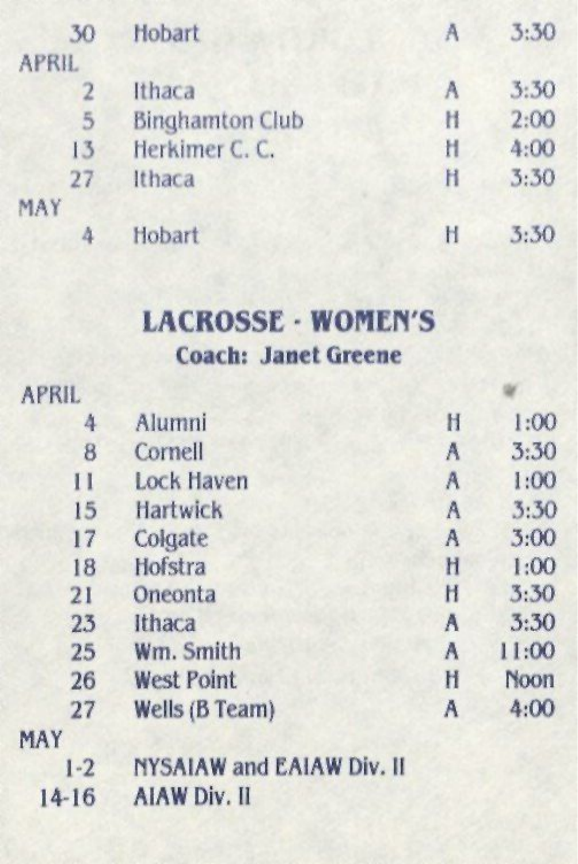| 30             | Hobart                 | A | 3:30 |
|----------------|------------------------|---|------|
| <b>APRIL</b>   |                        |   |      |
| $\overline{2}$ | Ithaca                 | A | 3:30 |
| 5              | <b>Binghamton Club</b> | Ħ | 2:00 |
| 13             | Herkimer C. C.         | Ħ | 4:00 |
| 27             | Ithaca                 | H | 3:30 |
| MAY            |                        |   |      |
| Δ              | Hobart                 | H | 3:30 |

#### LACROSSE - WOMEN'S Coach: Janet Greene

| <b>APRIL</b> |                   |   |       |
|--------------|-------------------|---|-------|
| 4            | Alumni            | H | 1:00  |
| 8            | Cornell           | A | 3:30  |
| $\mathbf{I}$ | Lock Haven        | Α | 1:00  |
| 15           | Hartwick          | A | 3:30  |
| 17           | Colgate           | A | 3:00  |
| 18           | Hofstra           | H | 1:00  |
| 21           | Oneonta           | H | 3:30  |
| 23           | Ithaca            | A | 3:30  |
| 25           | Wm. Smith         | A | 11:00 |
| 26           | <b>West Point</b> | Ħ | Noon  |
| 27           | Wells (B Team)    | A | 4:00  |
| MAV          |                   |   |       |

#### MAY

1-2 HYSAIAW and EAIAW Div. II

14-16 AIAW Div. II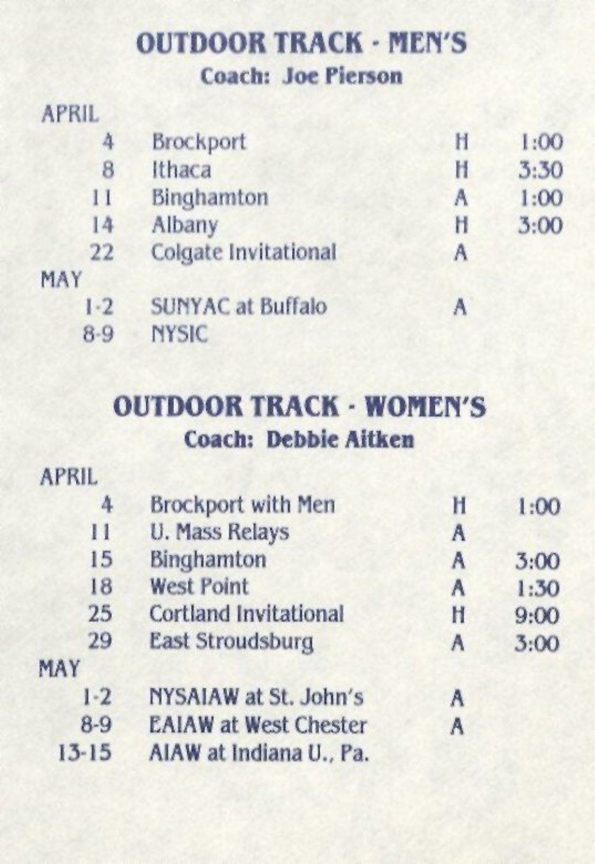### OUTDOOR TRACK - MEN'S **Coach: Joe Pierson**

#### APRIL

MA)

| 4       | <b>Brockport</b>         | Н | 1:00 |
|---------|--------------------------|---|------|
| 8       | Ithaca                   | H | 3:30 |
| $_{11}$ | Binghamton               | A | 1:00 |
| 14      | Albany                   | Ħ | 3:00 |
| 22      | Colgate Invitational     | A |      |
|         |                          |   |      |
| $1 - 2$ | <b>SUNYAC at Buffalo</b> | A |      |
| $8-9$   | <b>NYSIC</b>             |   |      |
|         |                          |   |      |

## OUTDOOR TRACK - WOMEN'S Coach: **Debbie Aitken**

#### APRIL

| 4            | <b>Brockport with Men</b>    | H | 1:00 |
|--------------|------------------------------|---|------|
| $\mathbf{1}$ | <b>U. Mass Relays</b>        | A |      |
| 15           | <b>Binghamton</b>            | A | 3:00 |
| 18           | <b>West Point</b>            | A | 1:30 |
| 25           | <b>Cortland Invitational</b> | Ħ | 9:00 |
| 29           | East Stroudsburg             | A | 3:00 |
| MAY          |                              |   |      |
| $1 - 2$      | NYSAIAW at St. John's        | A |      |
| $8-9$        | <b>EAIAW at West Chester</b> | A |      |
| $13 - 15$    | AIAW at Indiana U., Pa.      |   |      |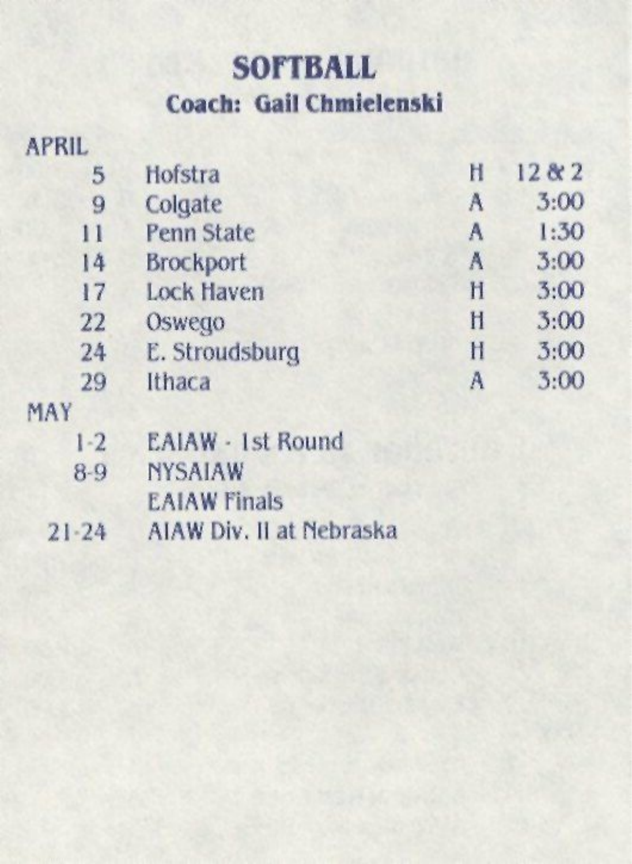## **SOFTBALL Coach: Gail Chmieienski**

#### APRIL

| Hofstra           | Ħ | 12 & 2 |
|-------------------|---|--------|
| Colgate           | Α | 3:00   |
| <b>Penn State</b> | A | 1:30   |
| <b>Brockport</b>  | A | 3:00   |
| <b>Lock Haven</b> | H | 3:00   |
| Oswego            | Ħ | 3:00   |
| E. Stroudsburg    | H | 3:00   |
| Ithaca            | A | 3:00   |
|                   |   |        |

#### MAY

- 1-2 EAIAW • 1st Round
- 8-9 **RYSAIAW** 
	- EAIAW Finals
- 21-24 AIAW Div. II at Mebraska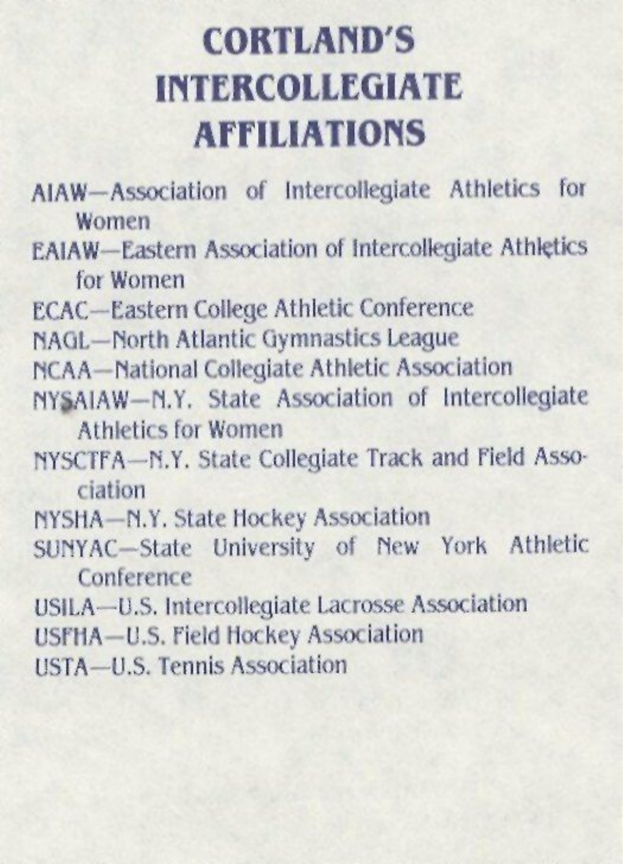## **CORTLAND'S INTERCOLLEGIATE AFFILIATIONS**

- AIAW—Association of Intercollegiate Athletics for Women
- EAIAW—Eastern Association of Intercollegiate Athletics for Women
- ECAC—Eastern College Athletic Conference
- NAGL—Morth Atlantic Gymnastics League
- MCAA—national Collegiate Athletic Association
- MY&AIAW-n.Y. State Association of Intercollegiate Athletics for Women
- hYSCTFA—n.Y. State Collegiate Track and Field Association
- nYSMA—M.Y. State Hockey Association
- SUhYAC—State University of Mew York Athletic Conference
- USILA—U.S. Intercollegiate Lacrosse Association
- USFHA—U.S. Field Hockey Association
- USTA—U.S. Tennis Association